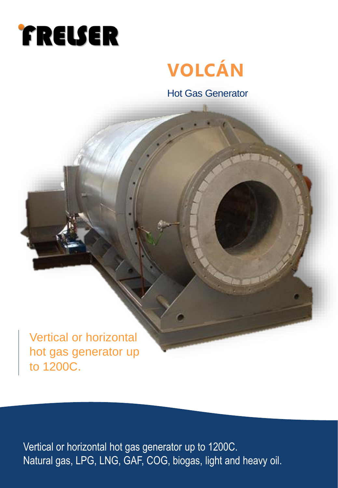

# **VOLCÁN**

Hot Gas Generator

Vertical or horizontal hot gas generator up to 1200C.

Vertical or horizontal hot gas generator up to 1200C. Natural gas, LPG, LNG, GAF, COG, biogas, light and heavy oil.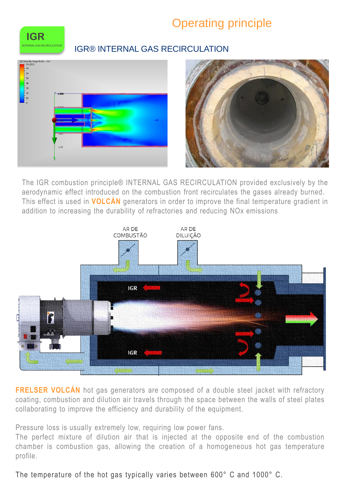## Operating principle



#### **IGR® INTERNAL GAS RECIRCULATION**





The IGR combustion principle® INTERNAL GAS RECIRCULATION provided exclusively by the aerodynamic effect introduced on the combustion front recirculates the gases already burned. This effect is used in **VOLCÁN** generators in order to improve the final temperature gradient in addition to increasing the durability of refractories and reducing NOx emissions



**FRELSER VOLCÁN** hot gas generators are composed of a double steel jacket with refractory coating, combustion and dilution air travels through the space between the walls of steel plates collaborating to improve the efficiency and durability of the equipment.

Pressure loss is usually extremely low, requiring low power fans.

The perfect mixture of dilution air that is injected at the opposite end of the combustion chamber is combustion gas, allowing the creation of a homogeneous hot gas temperature profile.

#### The temperature of the hot gas typically varies between 600° C and 1000° C.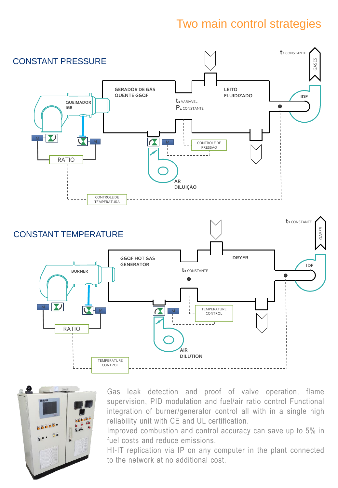## Two main control strategies





Gas leak detection and proof of valve operation, flame supervision, PID modulation and fuel/air ratio control Functional integration of burner/generator control all with in a single high reliability unit with CE and UL certification.

Improved combustion and control accuracy can save up to 5% in fuel costs and reduce emissions.

HI-IT replication via IP on any computer in the plant connected to the network at no additional cost.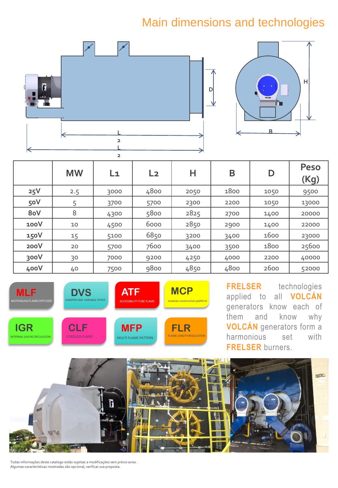## Main dimensions and technologies



|      | <b>MW</b> | L1   | L <sub>2</sub> | Н    | B    | D    | <b>Peso</b><br>(Kg) |
|------|-----------|------|----------------|------|------|------|---------------------|
| 25V  | 2.5       | 3000 | 4800           | 2050 | 1800 | 1050 | 9500                |
| 50V  | 5         | 3700 | 5700           | 2300 | 2200 | 1050 | 13000               |
| 8oV  | 8         | 4300 | 5800           | 2825 | 2700 | 1400 | 20000               |
| 100V | 10        | 4500 | 6000           | 2850 | 2900 | 1400 | 22000               |
| 150V | 15        | 5100 | 6850           | 3200 | 3400 | 1600 | 23000               |
| 200V | 20        | 5700 | 7600           | 3400 | 3500 | 1800 | 25600               |
| 300V | 30        | 7000 | 9200           | 4250 | 4000 | 2200 | 40000               |
| 400V | 40        | 7500 | 9800           | 4850 | 4800 | 2600 | 52000               |



**FRELSER** technologies applied to all **VOLCÁN** generators know each of them and know why **VOLCÁN** generators form a harmonious set with **FRELSER** burners.



Todas informações deste catalogo estão sujeitas a modificações sem prévio aviso . Algumas características mostradas são opcional, verificar sua proposta.